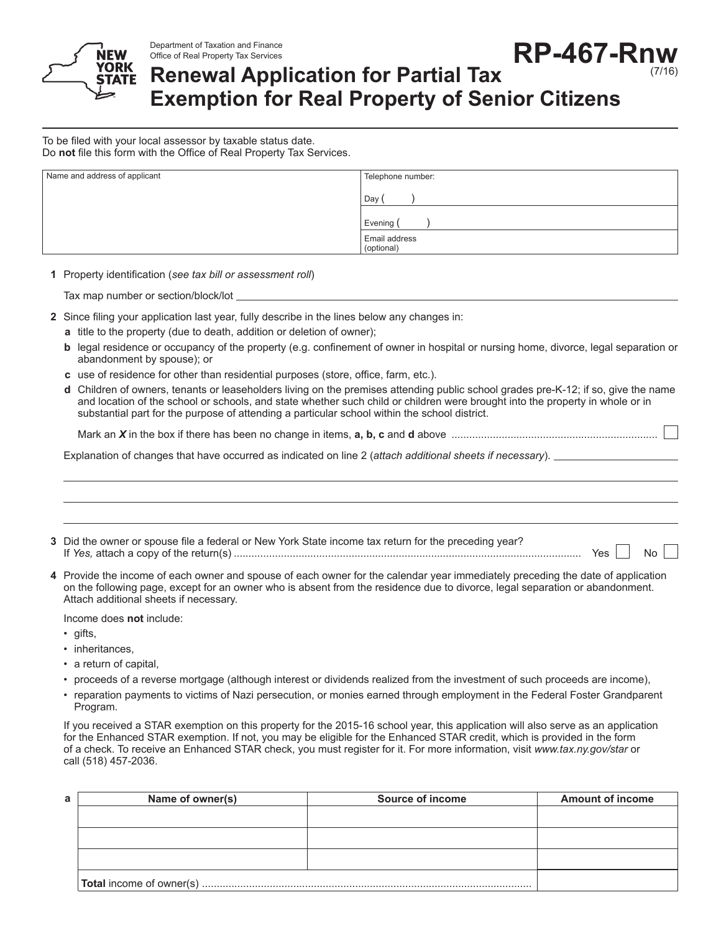

Department of Taxation and Finance Office of Real Property Tax Services **RP-467-Rnw** (7/16)

## **Renewal Application for Partial Tax Exemption for Real Property of Senior Citizens**

To be filed with your local assessor by taxable status date. Do **not** file this form with the Office of Real Property Tax Services.

| Name and address of applicant | Telephone number:           |
|-------------------------------|-----------------------------|
|                               | Day                         |
|                               | Evening (                   |
|                               | Email address<br>(optional) |

**1** Property identification (*see tax bill or assessment roll*)

Tax map number or section/block/lot

**2** Since filing your application last year, fully describe in the lines below any changes in:

- **a** title to the property (due to death, addition or deletion of owner);
- **b** legal residence or occupancy of the property (e.g. confinement of owner in hospital or nursing home, divorce, legal separation or abandonment by spouse); or
- **c** use of residence for other than residential purposes (store, office, farm, etc.).
- **d** Children of owners, tenants or leaseholders living on the premises attending public school grades pre-K-12; if so, give the name and location of the school or schools, and state whether such child or children were brought into the property in whole or in substantial part for the purpose of attending a particular school within the school district.

Mark an *X* in the box if there has been no change in items, **a, b, c** and **d** above ......................................................................

Explanation of changes that have occurred as indicated on line 2 (*attach additional sheets if necessary*).

**3** Did the owner or spouse file a federal or New York State income tax return for the preceding year? If *Yes,* attach a copy of the return(s) ...................................................................................................................... Yes No

**4** Provide the income of each owner and spouse of each owner for the calendar year immediately preceding the date of application on the following page, except for an owner who is absent from the residence due to divorce, legal separation or abandonment. Attach additional sheets if necessary.

Income does **not** include:

- gifts,
- inheritances,
- a return of capital,
- proceeds of a reverse mortgage (although interest or dividends realized from the investment of such proceeds are income),
- reparation payments to victims of Nazi persecution, or monies earned through employment in the Federal Foster Grandparent Program.

If you received a STAR exemption on this property for the 2015-16 school year, this application will also serve as an application for the Enhanced STAR exemption. If not, you may be eligible for the Enhanced STAR credit, which is provided in the form of a check. To receive an Enhanced STAR check, you must register for it. For more information, visit *www.tax.ny.gov/star* or call (518) 457-2036.

| а | Name of owner(s) | Source of income | <b>Amount of income</b> |
|---|------------------|------------------|-------------------------|
|   |                  |                  |                         |
|   |                  |                  |                         |
|   |                  |                  |                         |
|   |                  |                  |                         |